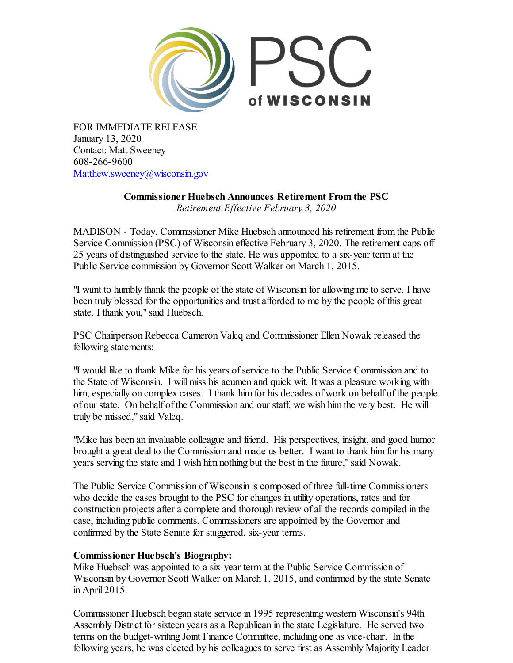

FOR IMMEDIATE RELEASE January 13, 2020 Contact: Matt Sweeney 608-266-9600 Matthew.sweeney@wisconsin.gov

> **Commissioner Huebsch Announces Retirement From the PSC** *Retirement Ef ective February 3, 2020*

MADISON - Today, Commissioner Mike Huebsch announced his retirement from the Public Service Commission (PSC) of Wisconsin effective February 3, 2020. The retirement caps off 25 years of distinguished service to the state. He was appointed to a six-year term at the Public Service commission by Governor Scott Walker on March 1, 2015.

"I want to humbly thank the people of the state of Wisconsin for allowing me to serve. I have been truly blessed for the opportunities and trust afforded to me by the people of this great state. I thank you," said Huebsch.

PSC Chairperson Rebecca Cameron Valcq and Commissioner Ellen Nowak released the following statements:

"I would like to thank Mike for his years ofservice to the Public Service Commission and to the State of Wisconsin. I will miss his acumen and quick wit. It was a pleasure working with him, especially on complex cases. I thank him for his decades of work on behalf of the people of our state. On behalf of the Commission and our staff, we wish him the very best. He will truly be missed," said Valcq.

"Mike has been an invaluable colleague and friend. His perspectives, insight, and good humor brought a great deal to the Commission and made us better. I want to thank him for his many years serving the state and I wish him nothing but the best in the future," said Nowak.

The Public Service Commission of Wisconsin is composed of three full-time Commissioners who decide the cases brought to the PSC for changes in utility operations, rates and for construction projects after a complete and thorough review of all the records compiled in the case, including public comments. Commissioners are appointed by the Governor and confirmed by the State Senate for staggered, six-year terms.

## **Commissioner Huebsch's Biography:**

Mike Huebsch was appointed to a six-year term at the Public Service Commission of Wisconsin by Governor Scott Walker on March 1, 2015, and confirmed by the state Senate in April 2015.

Commissioner Huebsch began state service in 1995 representing western Wisconsin's 94th Assembly District for sixteen years as a Republican in the state Legislature. He served two terms on the budget-writing Joint Finance Committee, including one as vice-chair. In the following years, he was elected by his colleagues to serve first as Assembly Majority Leader